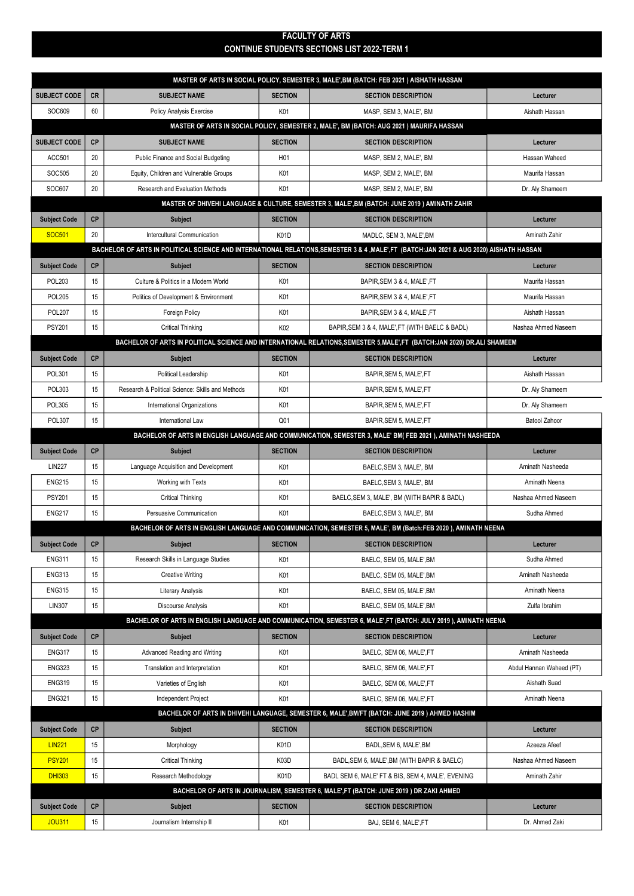## FACULTY OF ARTS CONTINUE STUDENTS SECTIONS LIST 2022-TERM 1

| MASTER OF ARTS IN SOCIAL POLICY, SEMESTER 3, MALE', BM (BATCH: FEB 2021 ) AISHATH HASSAN                                              |                                                                                                                          |                                                  |                        |                                                                                                                |                          |  |  |  |  |
|---------------------------------------------------------------------------------------------------------------------------------------|--------------------------------------------------------------------------------------------------------------------------|--------------------------------------------------|------------------------|----------------------------------------------------------------------------------------------------------------|--------------------------|--|--|--|--|
| <b>SUBJECT CODE</b>                                                                                                                   | <b>CR</b>                                                                                                                | <b>SUBJECT NAME</b>                              | <b>SECTION</b>         | <b>SECTION DESCRIPTION</b>                                                                                     | Lecturer                 |  |  |  |  |
| SOC609                                                                                                                                | 60                                                                                                                       | <b>Policy Analysis Exercise</b>                  | K01                    | MASP, SEM 3, MALE', BM                                                                                         | Aishath Hassan           |  |  |  |  |
| MASTER OF ARTS IN SOCIAL POLICY, SEMESTER 2, MALE', BM (BATCH: AUG 2021 ) MAURIFA HASSAN                                              |                                                                                                                          |                                                  |                        |                                                                                                                |                          |  |  |  |  |
| <b>SUBJECT CODE</b>                                                                                                                   | <b>CP</b>                                                                                                                | <b>SUBJECT NAME</b>                              | <b>SECTION</b>         | <b>SECTION DESCRIPTION</b>                                                                                     | Lecturer                 |  |  |  |  |
| ACC501                                                                                                                                | 20                                                                                                                       | Public Finance and Social Budgeting              | H <sub>01</sub>        | MASP, SEM 2, MALE', BM                                                                                         | Hassan Waheed            |  |  |  |  |
| SOC505                                                                                                                                | 20                                                                                                                       | Equity, Children and Vulnerable Groups           | K01                    | MASP, SEM 2, MALE', BM                                                                                         | Maurifa Hassan           |  |  |  |  |
| SOC607                                                                                                                                | 20                                                                                                                       | Research and Evaluation Methods                  | K01                    | MASP, SEM 2, MALE', BM                                                                                         | Dr. Aly Shameem          |  |  |  |  |
| MASTER OF DHIVEHI LANGUAGE & CULTURE, SEMESTER 3, MALE', BM (BATCH: JUNE 2019) AMINATH ZAHIR                                          |                                                                                                                          |                                                  |                        |                                                                                                                |                          |  |  |  |  |
| <b>Subject Code</b>                                                                                                                   | CP                                                                                                                       | <b>Subject</b>                                   | <b>SECTION</b>         | <b>SECTION DESCRIPTION</b>                                                                                     | Lecturer                 |  |  |  |  |
| <b>SOC501</b>                                                                                                                         | 20                                                                                                                       | <b>Intercultural Communication</b>               | K01D                   | MADLC, SEM 3, MALE', BM                                                                                        | Aminath Zahir            |  |  |  |  |
| BACHELOR OF ARTS IN POLITICAL SCIENCE AND INTERNATIONAL RELATIONS,SEMESTER 3 & 4 ,MALE',FT (BATCH:JAN 2021 & AUG 2020) AISHATH HASSAN |                                                                                                                          |                                                  |                        |                                                                                                                |                          |  |  |  |  |
| <b>Subject Code</b>                                                                                                                   | <b>CP</b>                                                                                                                | <b>Subject</b>                                   | <b>SECTION</b>         | <b>SECTION DESCRIPTION</b>                                                                                     | Lecturer                 |  |  |  |  |
| <b>POL203</b>                                                                                                                         | 15                                                                                                                       | Culture & Politics in a Modern World             | K01                    | BAPIR, SEM 3 & 4, MALE', FT                                                                                    | Maurifa Hassan           |  |  |  |  |
| <b>POL205</b>                                                                                                                         | 15                                                                                                                       | Politics of Development & Environment            | K01                    | BAPIR, SEM 3 & 4, MALE', FT                                                                                    | Maurifa Hassan           |  |  |  |  |
| <b>POL207</b>                                                                                                                         | 15                                                                                                                       | <b>Foreign Policy</b>                            | K01                    | BAPIR, SEM 3 & 4, MALE', FT                                                                                    | Aishath Hassan           |  |  |  |  |
| <b>PSY201</b>                                                                                                                         | 15                                                                                                                       | Critical Thinking                                | K02                    | BAPIR, SEM 3 & 4, MALE', FT (WITH BAELC & BADL)                                                                | Nashaa Ahmed Naseem      |  |  |  |  |
|                                                                                                                                       | BACHELOR OF ARTS IN POLITICAL SCIENCE AND INTERNATIONAL RELATIONS, SEMESTER 5, MALE', FT (BATCH:JAN 2020) DR.ALI SHAMEEM |                                                  |                        |                                                                                                                |                          |  |  |  |  |
| <b>Subject Code</b>                                                                                                                   | <b>CP</b>                                                                                                                | <b>Subject</b>                                   | <b>SECTION</b>         | <b>SECTION DESCRIPTION</b>                                                                                     | Lecturer                 |  |  |  |  |
| <b>POL301</b>                                                                                                                         | 15                                                                                                                       | Political Leadership                             | K01                    | BAPIR, SEM 5, MALE', FT                                                                                        | Aishath Hassan           |  |  |  |  |
| POL303                                                                                                                                | 15                                                                                                                       | Research & Political Science: Skills and Methods | K01                    | BAPIR, SEM 5, MALE', FT                                                                                        | Dr. Aly Shameem          |  |  |  |  |
| <b>POL305</b>                                                                                                                         | 15                                                                                                                       | International Organizations                      | K01                    | BAPIR, SEM 5, MALE', FT                                                                                        | Dr. Aly Shameem          |  |  |  |  |
| <b>POL307</b>                                                                                                                         | 15                                                                                                                       | International Law                                | Q <sub>01</sub>        | BAPIR, SEM 5, MALE', FT                                                                                        | <b>Batool Zahoor</b>     |  |  |  |  |
|                                                                                                                                       |                                                                                                                          |                                                  |                        | BACHELOR OF ARTS IN ENGLISH LANGUAGE AND COMMUNICATION, SEMESTER 3, MALE' BM( FEB 2021 ), AMINATH NASHEEDA     |                          |  |  |  |  |
| <b>Subject Code</b>                                                                                                                   | CP                                                                                                                       | <b>Subject</b>                                   | <b>SECTION</b>         | <b>SECTION DESCRIPTION</b>                                                                                     | Lecturer                 |  |  |  |  |
| <b>LIN227</b>                                                                                                                         | 15                                                                                                                       | Language Acquisition and Development             | K01                    | BAELC, SEM 3, MALE', BM                                                                                        | Aminath Nasheeda         |  |  |  |  |
| <b>ENG215</b>                                                                                                                         | 15                                                                                                                       | Working with Texts                               | K01                    | BAELC, SEM 3, MALE', BM                                                                                        | Aminath Neena            |  |  |  |  |
| <b>PSY201</b>                                                                                                                         | 15                                                                                                                       | <b>Critical Thinking</b>                         | K01                    | BAELC, SEM 3, MALE', BM (WITH BAPIR & BADL)                                                                    | Nashaa Ahmed Naseem      |  |  |  |  |
| <b>ENG217</b>                                                                                                                         | 15                                                                                                                       | Persuasive Communication                         | K01                    | BAELC, SEM 3, MALE', BM                                                                                        | Sudha Ahmed              |  |  |  |  |
|                                                                                                                                       |                                                                                                                          |                                                  |                        | BACHELOR OF ARTS IN ENGLISH LANGUAGE AND COMMUNICATION, SEMESTER 5, MALE', BM (Batch:FEB 2020), AMINATH NEENA  |                          |  |  |  |  |
| <b>Subject Code</b>                                                                                                                   | CP                                                                                                                       | <b>Subject</b>                                   | <b>SECTION</b>         | <b>SECTION DESCRIPTION</b>                                                                                     | Lecturer                 |  |  |  |  |
| <b>ENG311</b>                                                                                                                         | 15                                                                                                                       | Research Skills in Language Studies              | K01                    | BAELC, SEM 05, MALE', BM                                                                                       | Sudha Ahmed              |  |  |  |  |
| <b>ENG313</b>                                                                                                                         | 15                                                                                                                       | <b>Creative Writing</b>                          | K01                    | BAELC. SEM 05. MALE'.BM                                                                                        | Aminath Nasheeda         |  |  |  |  |
| <b>ENG315</b>                                                                                                                         | 15                                                                                                                       | <b>Literary Analysis</b>                         | K01                    | BAELC. SEM 05. MALE'.BM                                                                                        | Aminath Neena            |  |  |  |  |
| <b>LIN307</b>                                                                                                                         | 15                                                                                                                       | Discourse Analysis                               | K01                    | BAELC. SEM 05. MALE'.BM                                                                                        | Zulfa Ibrahim            |  |  |  |  |
|                                                                                                                                       |                                                                                                                          |                                                  |                        | BACHELOR OF ARTS IN ENGLISH LANGUAGE AND COMMUNICATION, SEMESTER 6, MALE',FT (BATCH: JULY 2019), AMINATH NEENA |                          |  |  |  |  |
| <b>Subject Code</b>                                                                                                                   | CP                                                                                                                       | <b>Subject</b>                                   | <b>SECTION</b>         | <b>SECTION DESCRIPTION</b>                                                                                     | Lecturer                 |  |  |  |  |
| <b>ENG317</b>                                                                                                                         | 15                                                                                                                       | Advanced Reading and Writing                     | K01                    | BAELC, SEM 06, MALE', FT                                                                                       | Aminath Nasheeda         |  |  |  |  |
| <b>ENG323</b>                                                                                                                         | 15                                                                                                                       | Translation and Interpretation                   | K01                    | BAELC, SEM 06, MALE', FT                                                                                       | Abdul Hannan Waheed (PT) |  |  |  |  |
| <b>ENG319</b>                                                                                                                         | 15                                                                                                                       | Varieties of English                             | K01                    | BAELC, SEM 06, MALE', FT                                                                                       | Aishath Suad             |  |  |  |  |
| <b>ENG321</b>                                                                                                                         | 15                                                                                                                       | Independent Project                              | K01                    | BAELC, SEM 06, MALE', FT                                                                                       | Aminath Neena            |  |  |  |  |
| BACHELOR OF ARTS IN DHIVEHI LANGUAGE, SEMESTER 6, MALE', BM/FT (BATCH: JUNE 2019) AHMED HASHIM                                        |                                                                                                                          |                                                  |                        |                                                                                                                |                          |  |  |  |  |
| <b>Subject Code</b><br><b>LIN221</b>                                                                                                  | <b>CP</b><br>15                                                                                                          | Subject                                          | <b>SECTION</b><br>K01D | <b>SECTION DESCRIPTION</b><br>BADL, SEM 6, MALE', BM                                                           | Lecturer<br>Azeeza Afeef |  |  |  |  |
| <b>PSY201</b>                                                                                                                         | 15                                                                                                                       | Morphology                                       |                        |                                                                                                                | Nashaa Ahmed Naseem      |  |  |  |  |
| <b>DHI303</b>                                                                                                                         | 15                                                                                                                       | <b>Critical Thinking</b><br>Research Methodology | K03D<br>K01D           | BADL, SEM 6, MALE', BM (WITH BAPIR & BAELC)<br>BADL SEM 6, MALE' FT & BIS, SEM 4, MALE', EVENING               | Aminath Zahir            |  |  |  |  |
| BACHELOR OF ARTS IN JOURNALISM, SEMESTER 6, MALE', FT (BATCH: JUNE 2019 ) DR ZAKI AHMED                                               |                                                                                                                          |                                                  |                        |                                                                                                                |                          |  |  |  |  |
|                                                                                                                                       | <b>Subject Code</b><br>CP<br><b>SECTION</b><br><b>SECTION DESCRIPTION</b><br><b>Subject</b><br>Lecturer                  |                                                  |                        |                                                                                                                |                          |  |  |  |  |
|                                                                                                                                       |                                                                                                                          |                                                  |                        |                                                                                                                |                          |  |  |  |  |
| <b>JOU311</b>                                                                                                                         | 15                                                                                                                       | Journalism Internship II                         | K01                    | BAJ, SEM 6, MALE', FT                                                                                          | Dr. Ahmed Zaki           |  |  |  |  |